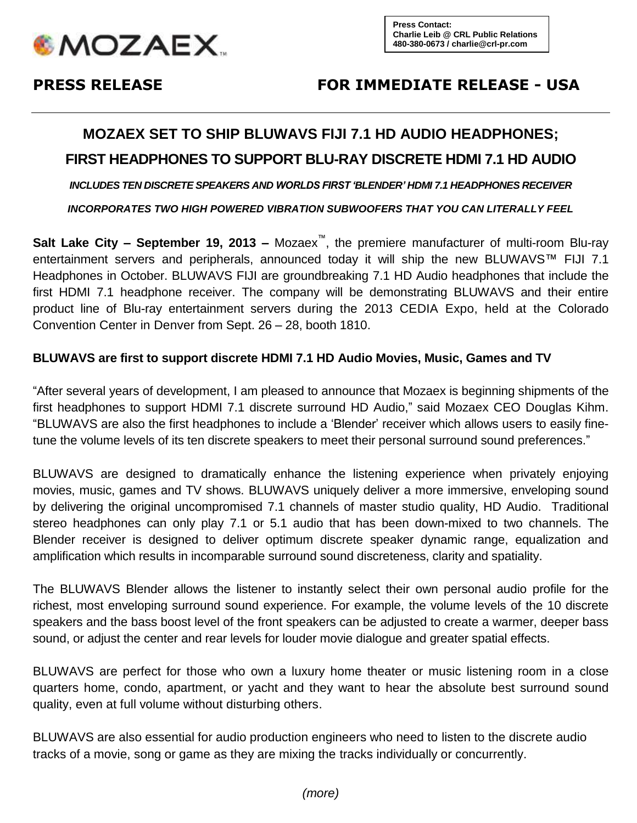

# **PRESS RELEASE FOR IMMEDIATE RELEASE - USA**

# **MOZAEX SET TO SHIP BLUWAVS FIJI 7.1 HD AUDIO HEADPHONES;**

## **FIRST HEADPHONES TO SUPPORT BLU-RAY DISCRETE HDMI 7.1 HD AUDIO**

*INCLUDES TEN DISCRETE SPEAKERS AND WORLDS FIRST 'BLENDER' HDMI 7.1 HEADPHONES RECEIVER* 

*INCORPORATES TWO HIGH POWERED VIBRATION SUBWOOFERS THAT YOU CAN LITERALLY FEEL*

**Salt Lake City – September 19, 2013 –** Mozaex™, the premiere manufacturer of multi-room Blu-ray entertainment servers and peripherals, announced today it will ship the new BLUWAVS™ FIJI 7.1 Headphones in October. BLUWAVS FIJI are groundbreaking 7.1 HD Audio headphones that include the first HDMI 7.1 headphone receiver. The company will be demonstrating BLUWAVS and their entire product line of Blu-ray entertainment servers during the 2013 CEDIA Expo, held at the Colorado Convention Center in Denver from Sept. 26 – 28, booth 1810.

#### **BLUWAVS are first to support discrete HDMI 7.1 HD Audio Movies, Music, Games and TV**

"After several years of development, I am pleased to announce that Mozaex is beginning shipments of the first headphones to support HDMI 7.1 discrete surround HD Audio," said Mozaex CEO Douglas Kihm. "BLUWAVS are also the first headphones to include a 'Blender' receiver which allows users to easily finetune the volume levels of its ten discrete speakers to meet their personal surround sound preferences."

BLUWAVS are designed to dramatically enhance the listening experience when privately enjoying movies, music, games and TV shows. BLUWAVS uniquely deliver a more immersive, enveloping sound by delivering the original uncompromised 7.1 channels of master studio quality, HD Audio. Traditional stereo headphones can only play 7.1 or 5.1 audio that has been down-mixed to two channels. The Blender receiver is designed to deliver optimum discrete speaker dynamic range, equalization and amplification which results in incomparable surround sound discreteness, clarity and spatiality.

The BLUWAVS Blender allows the listener to instantly select their own personal audio profile for the richest, most enveloping surround sound experience. For example, the volume levels of the 10 discrete speakers and the bass boost level of the front speakers can be adjusted to create a warmer, deeper bass sound, or adjust the center and rear levels for louder movie dialogue and greater spatial effects.

BLUWAVS are perfect for those who own a luxury home theater or music listening room in a close quarters home, condo, apartment, or yacht and they want to hear the absolute best surround sound quality, even at full volume without disturbing others.

BLUWAVS are also essential for audio production engineers who need to listen to the discrete audio tracks of a movie, song or game as they are mixing the tracks individually or concurrently.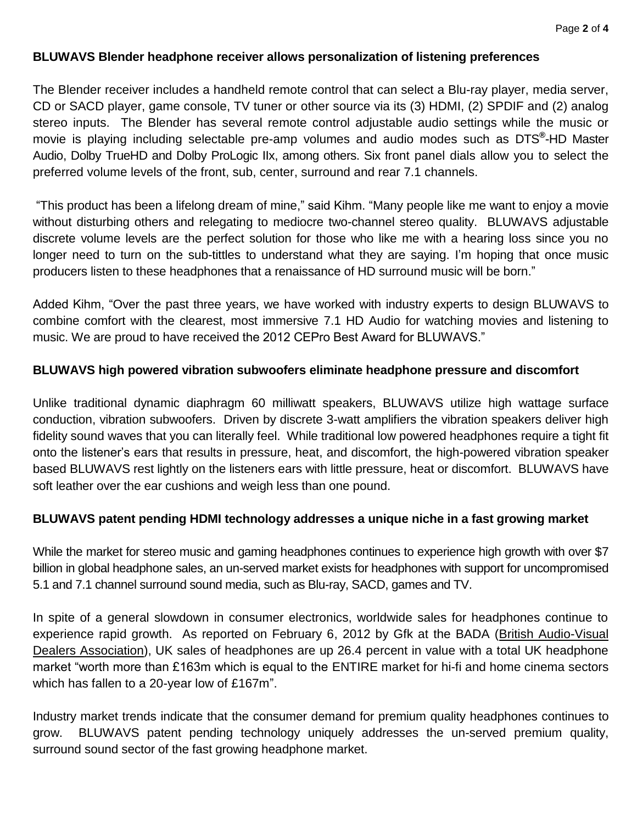### **BLUWAVS Blender headphone receiver allows personalization of listening preferences**

The Blender receiver includes a handheld remote control that can select a Blu-ray player, media server, CD or SACD player, game console, TV tuner or other source via its (3) HDMI, (2) SPDIF and (2) analog stereo inputs. The Blender has several remote control adjustable audio settings while the music or movie is playing including selectable pre-amp volumes and audio modes such as DTS**®** -HD Master Audio, Dolby TrueHD and Dolby ProLogic IIx, among others. Six front panel dials allow you to select the preferred volume levels of the front, sub, center, surround and rear 7.1 channels.

"This product has been a lifelong dream of mine," said Kihm. "Many people like me want to enjoy a movie without disturbing others and relegating to mediocre two-channel stereo quality. BLUWAVS adjustable discrete volume levels are the perfect solution for those who like me with a hearing loss since you no longer need to turn on the sub-tittles to understand what they are saying. I'm hoping that once music producers listen to these headphones that a renaissance of HD surround music will be born."

Added Kihm, "Over the past three years, we have worked with industry experts to design BLUWAVS to combine comfort with the clearest, most immersive 7.1 HD Audio for watching movies and listening to music. We are proud to have received the 2012 CEPro Best Award for BLUWAVS."

#### **BLUWAVS high powered vibration subwoofers eliminate headphone pressure and discomfort**

Unlike traditional dynamic diaphragm 60 milliwatt speakers, BLUWAVS utilize high wattage surface conduction, vibration subwoofers. Driven by discrete 3-watt amplifiers the vibration speakers deliver high fidelity sound waves that you can literally feel. While traditional low powered headphones require a tight fit onto the listener's ears that results in pressure, heat, and discomfort, the high-powered vibration speaker based BLUWAVS rest lightly on the listeners ears with little pressure, heat or discomfort. BLUWAVS have soft leather over the ear cushions and weigh less than one pound.

### **BLUWAVS patent pending HDMI technology addresses a unique niche in a fast growing market**

While the market for stereo music and gaming headphones continues to experience high growth with over \$7 billion in global headphone sales, an un-served market exists for headphones with support for uncompromised 5.1 and 7.1 channel surround sound media, such as Blu-ray, SACD, games and TV.

In spite of a general slowdown in consumer electronics, worldwide sales for headphones continue to experience rapid growth. As reported on February 6, 2012 by Gfk at the BADA (British Audio-Visual [Dealers Association\)](http://bada.co.uk/), UK sales of headphones are up 26.4 percent in value with a total UK headphone market "worth more than £163m which is equal to the ENTIRE market for hi-fi and home cinema sectors which has fallen to a 20-year low of £167m".

Industry market trends indicate that the consumer demand for premium quality headphones continues to grow. BLUWAVS patent pending technology uniquely addresses the un-served premium quality, surround sound sector of the fast growing headphone market.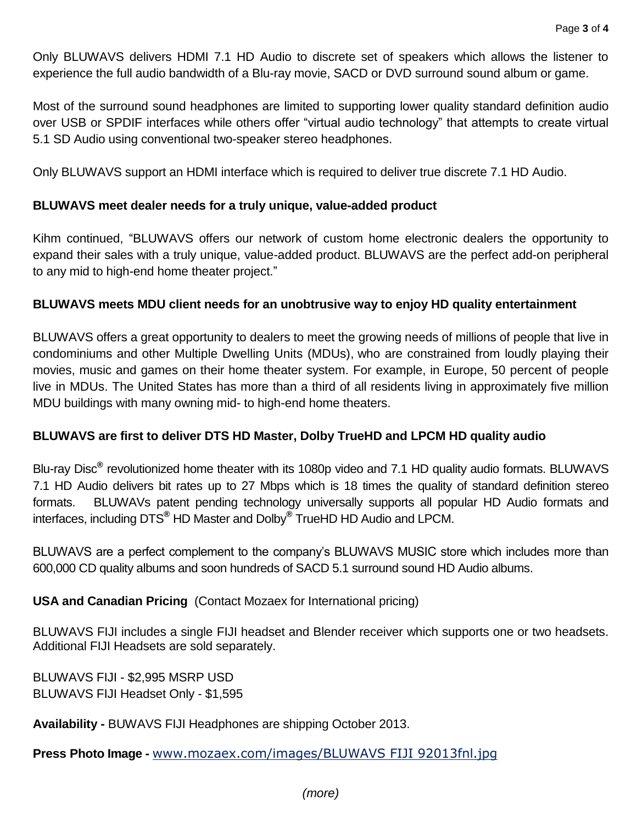Only BLUWAVS delivers HDMI 7.1 HD Audio to discrete set of speakers which allows the listener to experience the full audio bandwidth of a Blu-ray movie, SACD or DVD surround sound album or game.

Most of the surround sound headphones are limited to supporting lower quality standard definition audio over USB or SPDIF interfaces while others offer "virtual audio technology" that attempts to create virtual 5.1 SD Audio using conventional two-speaker stereo headphones.

Only BLUWAVS support an HDMI interface which is required to deliver true discrete 7.1 HD Audio.

#### **BLUWAVS meet dealer needs for a truly unique, value-added product**

Kihm continued, "BLUWAVS offers our network of custom home electronic dealers the opportunity to expand their sales with a truly unique, value-added product. BLUWAVS are the perfect add-on peripheral to any mid to high-end home theater project."

#### **BLUWAVS meets MDU client needs for an unobtrusive way to enjoy HD quality entertainment**

BLUWAVS offers a great opportunity to dealers to meet the growing needs of millions of people that live in condominiums and other Multiple Dwelling Units (MDUs), who are constrained from loudly playing their movies, music and games on their home theater system. For example, in Europe, 50 percent of people live in MDUs. The United States has more than a third of all residents living in approximately five million MDU buildings with many owning mid- to high-end home theaters.

### **BLUWAVS are first to deliver DTS HD Master, Dolby TrueHD and LPCM HD quality audio**

Blu-ray Disc**®** revolutionized home theater with its 1080p video and 7.1 HD quality audio formats. BLUWAVS 7.1 HD Audio delivers bit rates up to 27 Mbps which is 18 times the quality of standard definition stereo formats. BLUWAVs patent pending technology universally supports all popular HD Audio formats and interfaces, including DTS**®** HD Master and Dolby**®** TrueHD HD Audio and LPCM.

BLUWAVS are a perfect complement to the company's BLUWAVS MUSIC store which includes more than 600,000 CD quality albums and soon hundreds of SACD 5.1 surround sound HD Audio albums.

### **USA and Canadian Pricing** (Contact Mozaex for International pricing)

BLUWAVS FIJI includes a single FIJI headset and Blender receiver which supports one or two headsets. Additional FIJI Headsets are sold separately.

BLUWAVS FIJI - \$2,995 MSRP USD BLUWAVS FIJI Headset Only - \$1,595

**Availability -** BUWAVS FIJI Headphones are shipping October 2013.

**Press Photo Image -** [www.mozaex.com/images/BLUWAVS FIJI 92013fnl.jpg](http://www.mozaex.com/images/BLUWAVS%20FIJI%2092013fnl.jpg)